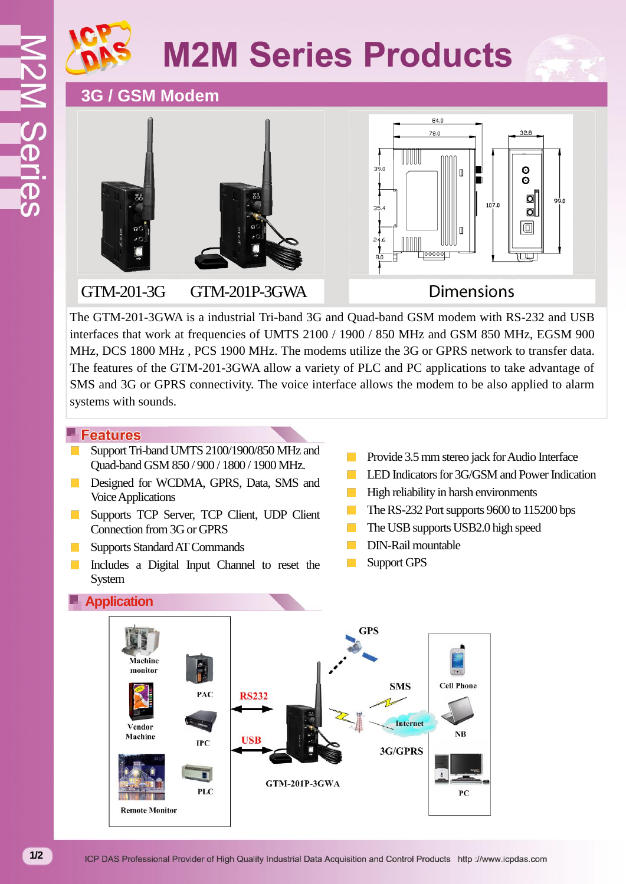# **M2M Series Products**

## **3G / GSM Modem**



#### GTM-201-3G GTM-201P-3GWA



### **Dimensions**

The GTM-201-3GWA is a industrial Tri-band 3G and Quad-band GSM modem with RS-232 and USB interfaces that work at frequencies of UMTS 2100 / 1900 / 850 MHz and GSM 850 MHz, EGSM 900 MHz, DCS 1800 MHz , PCS 1900 MHz. The modems utilize the 3G or GPRS network to transfer data. The features of the GTM-201-3GWA allow a variety of PLC and PC applications to take advantage of SMS and 3G or GPRS connectivity. The voice interface allows the modem to be also applied to alarm systems with sounds.

#### **Features**

- Support Tri-band UMTS 2100/1900/850 MHz and Quad-band GSM 850 / 900 / 1800 / 1900 MHz.
- Designed for WCDMA, GPRS, Data, SMS and  $\mathcal{L}_{\rm{max}}$ Voice Applications
- Supports TCP Server, TCP Client, UDP Client  $\mathcal{L}(\mathcal{A})$ Connection from 3G or GPRS
- Supports Standard AT Commands  $\mathcal{L}^{\text{max}}$
- $\mathcal{L}_{\rm{max}}$ Includes a Digital Input Channel to reset the System
- Provide 3.5 mm stereo jack for Audio Interface
- LED Indicators for 3G/GSM and Power Indication
- $\mathcal{O}(\mathcal{A})$ High reliability in harsh environments
- $\mathcal{L}_{\mathcal{A}}$ The RS-232 Port supports 9600 to 115200 bps
- The USB supports USB2.0 high speed  $\mathcal{L}_{\mathcal{A}}$
- DIN-Rail mountable  $\sim$
- Support GPS  $\sim$